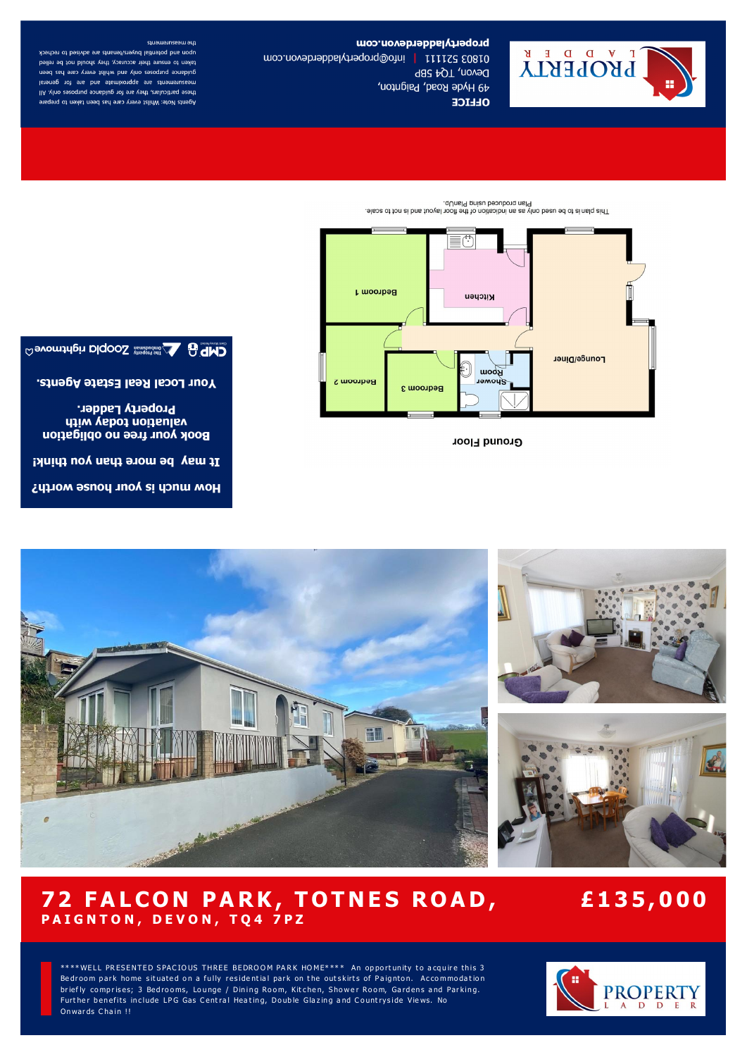

How much is your house worth?

It may be more than you think!

**Property Ladder. UTION YEDOJ NOITEULEV Book your free no obligation** 

Your Local Real Estate Agents.

**GMD** evening the manufacture CODIO relationed Co

# **Ground Floor**



This parameter and the fouriest of the floor layer and is not to scale.

the measurements upon and potential buyers/tenants are advised to recheck taken to ensure their accuracy, they should not be relied guidance purposes only and whilst every care has been measurements are approximate and are for general these particulars, they are for guidance purposes only. All Agents Note: Whilst every care has been taken to prepare



propertyladderdevon.com

Devon, TQ4 5BP

**OLLICE** 

49 Hyde Road, Paignton,

01803 521111 | info@propertyladdebroom.com

# 72 FALCON PARK, TOTNES ROAD, PAIGNTON, DEVON, TQ4 7PZ

# £135,000

\*\*\*\*WELL PRESENTED SPACIOUS THREE BEDROOM PARK HOME\*\*\*\* An opportunity to acquire this 3 Bedroom park home situated on a fully residential park on the outskirts of Paignton. Accommodation briefly comprises; 3 Bedrooms, Lounge / Dining Room, Kitchen, Shower Room, Gardens and Parking. Further benefits include LPG Gas Central Heating, Double Glazing and Countryside Views. No Onwards Chain !!